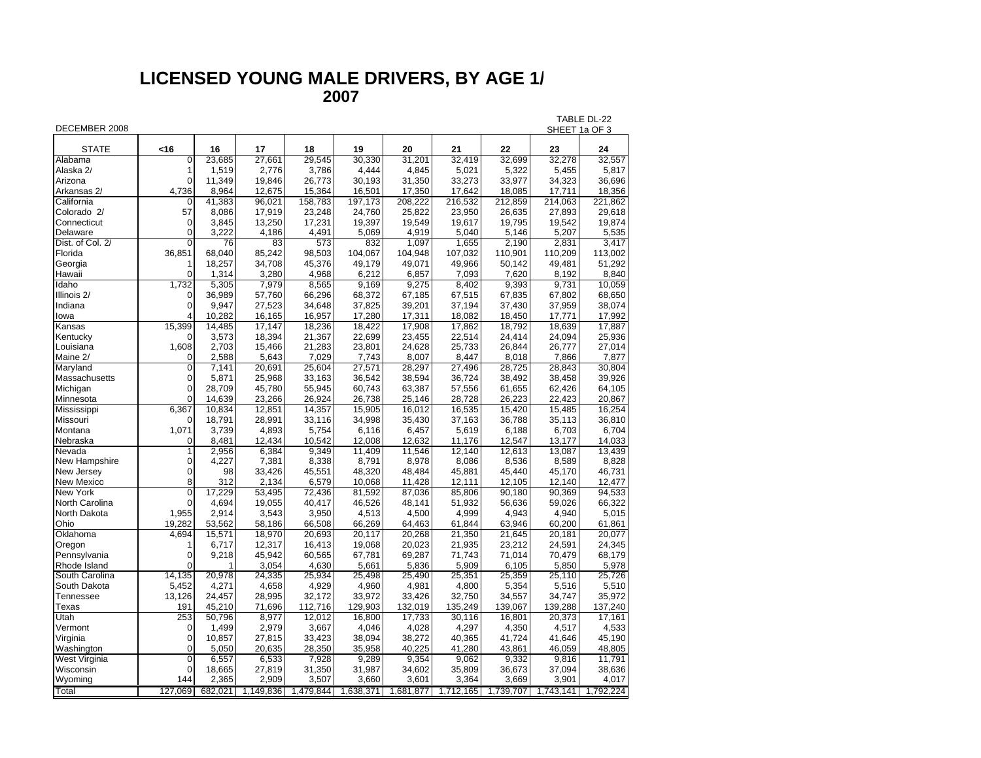## **LICENSED YOUNG MALE DRIVERS, BY AGE 1 / 2007**

| DECEMBER 2008    |                |        |                                 |         |           |         |                                   |         |           | TABLE DL-22<br>SHEET 1a OF 3 |  |  |
|------------------|----------------|--------|---------------------------------|---------|-----------|---------|-----------------------------------|---------|-----------|------------------------------|--|--|
|                  |                |        |                                 |         |           |         |                                   |         |           |                              |  |  |
| <b>STATE</b>     | <16            | 16     | 17                              | 18      | 19        | 20      | 21                                | 22      | 23        | 24                           |  |  |
| Alabama          | 0              | 23,685 | 27,661                          | 29,545  | 30,330    | 31,201  | 32,419                            | 32,699  | 32,278    | 32,557                       |  |  |
| Alaska 2/        | 1              | 1,519  | 2,776                           | 3,786   | 4,444     | 4,845   | 5,021                             | 5,322   | 5,455     | 5,817                        |  |  |
| Arizona          | $\mathbf 0$    | 11,349 | 19,846                          | 26,773  | 30,193    | 31,350  | 33,273                            | 33,977  | 34,323    | 36,696                       |  |  |
| Arkansas 2/      | 4,736          | 8,964  | 12,675                          | 15,364  | 16,501    | 17,350  | 17,642                            | 18,085  | 17,711    | 18,356                       |  |  |
| California       | 0              | 41,383 | 96,021                          | 158,783 | 197,173   | 208,222 | 216,532                           | 212,859 | 214,063   | 221,862                      |  |  |
| Colorado 2/      | 57             | 8,086  | 17,919                          | 23,248  | 24,760    | 25,822  | 23,950                            | 26,635  | 27,893    | 29,618                       |  |  |
| Connecticut      | $\mathbf 0$    | 3,845  | 13,250                          | 17,231  | 19,397    | 19,549  | 19,617                            | 19,795  | 19,542    | 19,874                       |  |  |
| Delaware         | 0              | 3,222  | 4,186                           | 4,491   | 5,069     | 4,919   | 5,040                             | 5,146   | 5,207     | 5,535                        |  |  |
| Dist. of Col. 2/ | $\overline{0}$ | 76     | 83                              | 573     | 832       | 1.097   | 1,655                             | 2,190   | 2,831     | 3.417                        |  |  |
| Florida          | 36,851         | 68,040 | 85,242                          | 98,503  | 104,067   | 104,948 | 107,032                           | 110,901 | 110,209   | 113,002                      |  |  |
| Georgia          | 1              | 18,257 | 34,708                          | 45,376  | 49,179    | 49,071  | 49,966                            | 50,142  | 49,481    | 51,292                       |  |  |
| Hawaii           | 0              | 1,314  | 3,280                           | 4,968   | 6,212     | 6,857   | 7,093                             | 7.620   | 8,192     | 8,840                        |  |  |
| Idaho            | 1,732          | 5,305  | 7,979                           | 8,565   | 9,169     | 9,275   | 8,402                             | 9,393   | 9.731     | 10,059                       |  |  |
| Illinois 2/      | $\mathbf 0$    | 36,989 | 57,760                          | 66,296  | 68,372    | 67,185  | 67,515                            | 67,835  | 67,802    | 68,650                       |  |  |
| Indiana          | $\Omega$       | 9,947  | 27,523                          | 34,648  | 37,825    | 39,201  | 37,194                            | 37,430  | 37,959    | 38,074                       |  |  |
| lowa             | 4              | 10.282 | 16,165                          | 16,957  | 17,280    | 17,311  | 18,082                            | 18,450  | 17.771    | 17,992                       |  |  |
| Kansas           | 15,399         | 14,485 | 17,147                          | 18,236  | 18,422    | 17,908  | 17,862                            | 18,792  | 18,639    | 17,887                       |  |  |
| Kentucky         | 0              | 3,573  | 18,394                          | 21,367  | 22,699    | 23,455  | 22,514                            | 24,414  | 24,094    | 25,936                       |  |  |
| Louisiana        | 1,608          | 2,703  | 15,466                          | 21,283  | 23,801    | 24,628  | 25,733                            | 26,844  | 26,777    | 27,014                       |  |  |
| Maine 2/         | 0              | 2,588  | 5,643                           | 7,029   | 7,743     | 8,007   | 8,447                             | 8,018   | 7,866     | 7,877                        |  |  |
| Maryland         | $\overline{0}$ | 7,141  | 20,691                          | 25,604  | 27,571    | 28,297  | 27,496                            | 28,725  | 28,843    | 30,804                       |  |  |
| Massachusetts    | $\mathbf 0$    | 5,871  | 25,968                          | 33,163  | 36,542    | 38,594  | 36,724                            | 38,492  | 38,458    | 39,926                       |  |  |
| Michigan         | 0              | 28,709 | 45,780                          | 55,945  | 60,743    | 63,387  | 57,556                            | 61,655  | 62,426    | 64,105                       |  |  |
| Minnesota        | $\Omega$       | 14,639 | 23,266                          | 26,924  | 26,738    | 25,146  | 28,728                            | 26,223  | 22,423    | 20,867                       |  |  |
| Mississippi      | 6,367          | 10,834 | 12,851                          | 14,357  | 15,905    | 16,012  | 16,535                            | 15,420  | 15,485    | 16,254                       |  |  |
| Missouri         | $\mathbf 0$    | 18,791 | 28,991                          | 33,116  | 34,998    | 35,430  | 37,163                            | 36,788  | 35,113    | 36,810                       |  |  |
| Montana          | 1,071          | 3,739  | 4,893                           | 5,754   | 6,116     | 6,457   | 5,619                             | 6,188   | 6,703     | 6,704                        |  |  |
| Nebraska         | $\mathbf 0$    | 8,481  | 12,434                          | 10,542  | 12,008    | 12,632  | 11,176                            | 12,547  | 13,177    | 14,033                       |  |  |
| Nevada           | 1              | 2,956  | 6,384                           | 9,349   | 11,409    | 11,546  | 12,140                            | 12,613  | 13,087    | 13,439                       |  |  |
| New Hampshire    | $\overline{0}$ | 4,227  | 7,381                           | 8,338   | 8,791     | 8,978   | 8,086                             | 8,536   | 8,589     | 8,828                        |  |  |
| New Jersey       | $\mathbf 0$    | 98     | 33,426                          | 45,551  | 48,320    | 48,484  | 45,881                            | 45,440  | 45,170    | 46,731                       |  |  |
| New Mexico       | 8              | 312    | 2,134                           | 6,579   | 10,068    | 11,428  | 12,111                            | 12,105  | 12,140    | 12,477                       |  |  |
| New York         | Ō              | 17.229 | 53,495                          | 72,436  | 81,592    | 87,036  | 85,806                            | 90,180  | 90,369    | 94,533                       |  |  |
| North Carolina   | $\Omega$       | 4,694  | 19,055                          | 40,417  | 46,526    | 48,141  | 51,932                            | 56,636  | 59,026    | 66,322                       |  |  |
| North Dakota     | 1,955          | 2,914  | 3,543                           | 3,950   | 4,513     | 4,500   | 4,999                             | 4,943   | 4,940     | 5,015                        |  |  |
| Ohio             | 19.282         | 53,562 | 58,186                          | 66,508  | 66.269    | 64.463  | 61.844                            | 63.946  | 60.200    | 61,861                       |  |  |
| Oklahoma         | 4,694          | 15,571 | 18,970                          | 20,693  | 20,117    | 20,268  | 21,350                            | 21,645  | 20,181    | 20,077                       |  |  |
| Oregon           | 1              | 6,717  | 12,317                          | 16,413  | 19,068    | 20,023  | 21,935                            | 23,212  | 24,591    | 24,345                       |  |  |
| Pennsylvania     | $\mathbf 0$    | 9,218  | 45,942                          | 60,565  | 67,781    | 69,287  | 71,743                            | 71,014  | 70,479    | 68,179                       |  |  |
| Rhode Island     | $\Omega$       |        | 3,054                           | 4,630   | 5,661     | 5,836   | 5,909                             | 6,105   | 5,850     | 5,978                        |  |  |
| South Carolina   | 14,135         | 20,978 | 24,335                          | 25,934  | 25,498    | 25,490  | 25,351                            | 25,359  | 25,110    | 25,726                       |  |  |
| South Dakota     | 5,452          | 4,271  | 4,658                           | 4,929   | 4,960     | 4,981   | 4,800                             | 5,354   | 5,516     | 5,510                        |  |  |
| Tennessee        | 13,126         | 24,457 | 28,995                          | 32,172  | 33,972    | 33,426  | 32,750                            | 34,557  | 34,747    | 35,972                       |  |  |
| Texas            | 191            | 45,210 | 71,696                          | 112,716 | 129,903   | 132,019 | 135,249                           | 139,067 | 139,288   | 137,240                      |  |  |
| Utah             | 253            | 50,796 | 8,977                           | 12,012  | 16,800    | 17,733  | 30,116                            | 16,801  | 20,373    | 17,161                       |  |  |
| Vermont          | 0              | 1,499  | 2,979                           | 3,667   | 4,046     | 4,028   | 4,297                             | 4,350   | 4,517     | 4,533                        |  |  |
| Virginia         | $\overline{0}$ | 10,857 | 27,815                          | 33,423  | 38,094    | 38,272  | 40,365                            | 41,724  | 41,646    | 45,190                       |  |  |
| Washington       | $\overline{0}$ | 5,050  | 20,635                          | 28,350  | 35,958    | 40,225  | 41,280                            | 43,861  | 46,059    | 48,805                       |  |  |
| West Virginia    | $\overline{0}$ | 6,557  | 6,533                           | 7,928   | 9,289     | 9,354   | 9,062                             | 9,332   | 9,816     | 11,791                       |  |  |
| Wisconsin        | $\Omega$       | 18,665 | 27,819                          | 31,350  | 31,987    | 34,602  | 35,809                            | 36,673  | 37,094    | 38,636                       |  |  |
| Wyoming          | 144            | 2,365  | 2,909                           | 3,507   | 3,660     | 3,601   | 3,364                             | 3,669   | 3,901     | 4,017                        |  |  |
| Total            | 127.069        |        | 682,021   1,149,836   1,479,844 |         | 1,638,371 |         | 1,681,877   1,712,165   1,739,707 |         | 1,743,141 | 1,792,224                    |  |  |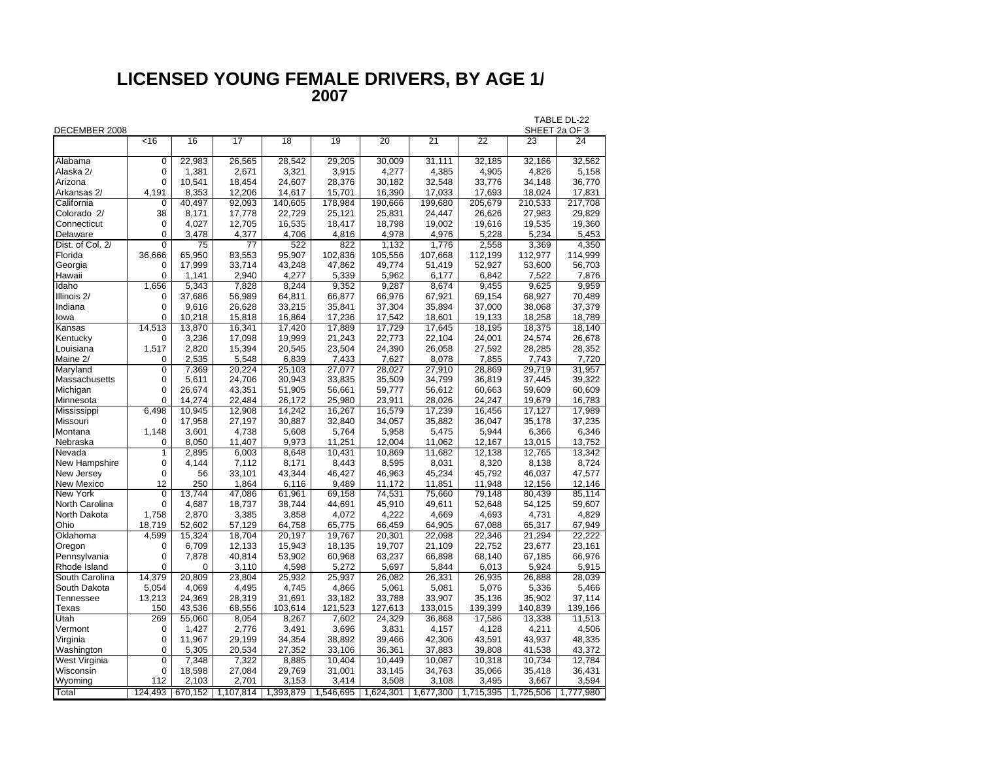## **LICENSED YOUNG FEMALE DRIVERS, BY AGE 1 / 2007**

| DECEMBER 2008     |                |                 |                     |                 |           |                 |           |                 |                    | TABLE DL-22<br>SHEET 2a OF 3 |
|-------------------|----------------|-----------------|---------------------|-----------------|-----------|-----------------|-----------|-----------------|--------------------|------------------------------|
|                   | $\overline{5}$ | 16              | 17                  | $\overline{18}$ | 19        | $\overline{20}$ | 21        | $\overline{22}$ | 23                 | 24                           |
| Alabama           | 0              | 22,983          | 26,565              | 28,542          | 29,205    | 30,009          | 31,111    | 32,185          | 32,166             | 32,562                       |
| Alaska 2/         | 0              | 1,381           | 2,671               | 3,321           | 3,915     | 4,277           | 4,385     | 4,905           | 4,826              | 5,158                        |
| Arizona           | 0              | 10,541          | 18,454              | 24,607          | 28,376    | 30,182          | 32,548    | 33,776          | 34,148             | 36,770                       |
| Arkansas 2/       | 4,191          | 8,353           | 12,206              | 14,617          | 15,701    | 16,390          | 17,033    | 17,693          | 18,024             | 17,831                       |
| California        | 0              | 40.497          | $\overline{92,093}$ | 140,605         | 178,984   | 190,666         | 199,680   | 205,679         | 210,533            | 217,708                      |
| Colorado 2/       | 38             | 8,171           | 17,778              | 22,729          | 25,121    | 25,831          | 24,447    | 26,626          | 27,983             | 29,829                       |
| Connecticut       | 0              | 4,027           | 12,705              | 16,535          | 18,417    | 18,798          | 19,002    | 19,616          | 19,535             | 19,360                       |
| Delaware          | 0              | 3,478           | 4,377               | 4,706           | 4,816     | 4,978           | 4,976     | 5,228           | 5,234              | 5,453                        |
| Dist. of Col. 2/  | 0              | $\overline{75}$ | $\overline{77}$     | 522             | 822       | 1,132           | 1,776     | 2,558           | 3,369              | 4,350                        |
| Florida           | 36,666         | 65,950          | 83,553              | 95,907          | 102,836   | 105,556         | 107,668   | 112,199         | 112,977            | 114,999                      |
| Georgia           | 0              | 17,999          | 33.714              | 43,248          | 47,862    | 49.774          | 51,419    | 52,927          | 53,600             | 56,703                       |
| Hawaii            | $\Omega$       | 1.141           | 2.940               | 4,277           | 5,339     | 5,962           | 6,177     | 6.842           | 7,522              | 7,876                        |
| Idaho             | 1,656          | 5,343           | 7,828               | 8,244           | 9,352     | 9,287           | 8,674     | 9,455           | $\overline{9,625}$ | 9,959                        |
| Illinois 2/       | 0              | 37,686          | 56,989              | 64,811          | 66,877    | 66,976          | 67,921    | 69,154          | 68,927             | 70,489                       |
| Indiana           | 0              | 9,616           | 26,628              | 33,215          | 35,841    | 37,304          | 35,894    | 37,000          | 38,068             | 37,379                       |
| lowa              | 0              | 10,218          | 15,818              | 16,864          | 17,236    | 17,542          | 18,601    | 19,133          | 18,258             | 18,789                       |
| Kansas            | 14,513         | 13,870          | 16,341              | 17,420          | 17,889    | 17,729          | 17,645    | 18,195          | 18,375             | 18.140                       |
| Kentucky          | 0              | 3,236           | 17,098              | 19,999          | 21,243    | 22,773          | 22,104    | 24,001          | 24,574             | 26,678                       |
| Louisiana         | 1,517          | 2,820           | 15,394              | 20,545          | 23,504    | 24,390          | 26,058    | 27,592          | 28,285             | 28,352                       |
| Maine 2/          | 0              | 2,535           | 5,548               | 6,839           | 7,433     | 7,627           | 8,078     | 7,855           | 7,743              | 7,720                        |
| Maryland          | 0              | 7,369           | 20,224              | 25,103          | 27,077    | 28,027          | 27,910    | 28,869          | 29.719             | 31,957                       |
| Massachusetts     | 0              | 5,611           | 24,706              | 30,943          | 33,835    | 35,509          | 34,799    | 36,819          | 37,445             | 39,322                       |
| Michigan          | 0              | 26,674          | 43,351              | 51,905          | 56,661    | 59,777          | 56,612    | 60,663          | 59,609             | 60,609                       |
| Minnesota         | $\Omega$       | 14.274          | 22.484              | 26,172          | 25,980    | 23.911          | 28,026    | 24.247          | 19.679             | 16,783                       |
| Mississippi       | 6,498          | 10,945          | 12,908              | 14,242          | 16,267    | 16,579          | 17,239    | 16,456          | 17,127             | 17,989                       |
| Missouri          | 0              | 17,958          | 27,197              | 30,887          | 32,840    | 34,057          | 35,882    | 36,047          | 35,178             | 37,235                       |
| Montana           | 1,148          | 3,601           | 4,738               | 5,608           | 5,764     | 5,958           | 5,475     | 5,944           | 6,366              | 6,346                        |
| Nebraska          | 0              | 8,050           | 11,407              | 9,973           | 11,251    | 12,004          | 11,062    | 12,167          | 13,015             | 13,752                       |
| Nevada            | 1              | 2,895           | 6,003               | 8,648           | 10,431    | 10,869          | 11,682    | 12,138          | 12,765             | 13,342                       |
| New Hampshire     | 0              | 4.144           | 7,112               | 8,171           | 8,443     | 8,595           | 8,031     | 8,320           | 8,138              | 8,724                        |
| New Jersey        | 0              | 56              | 33,101              | 43,344          | 46,427    | 46,963          | 45,234    | 45,792          | 46,037             | 47,577                       |
| <b>New Mexico</b> | 12             | 250             | 1,864               | 6,116           | 9,489     | 11,172          | 11,851    | 11,948          | 12,156             | 12,146                       |
| New York          | 0              | 13,744          | 47,086              | 61,961          | 69,158    | 74,531          | 75,660    | 79,148          | 80,439             | 85,114                       |
| North Carolina    | 0              | 4,687           | 18,737              | 38,744          | 44,691    | 45,910          | 49,611    | 52,648          | 54,125             | 59,607                       |
| North Dakota      | 1,758          | 2,870           | 3,385               | 3,858           | 4,072     | 4,222           | 4,669     | 4,693           | 4,731              | 4,829                        |
| Ohio              | 18.719         | 52,602          | 57,129              | 64,758          | 65,775    | 66,459          | 64,905    | 67,088          | 65,317             | 67,949                       |
| Oklahoma          | 4,599          | 15,324          | 18,704              | 20,197          | 19,767    | 20,301          | 22,098    | 22,346          | 21,294             | 22,222                       |
| Oregon            | 0              | 6,709           | 12,133              | 15,943          | 18,135    | 19,707          | 21,109    | 22,752          | 23,677             | 23,161                       |
| Pennsylvania      | 0              | 7,878           | 40,814              | 53,902          | 60,968    | 63,237          | 66,898    | 68,140          | 67,185             | 66,976                       |
| Rhode Island      | 0              | 0               | 3,110               | 4,598           | 5,272     | 5,697           | 5,844     | 6,013           | 5,924              | 5,915                        |
| South Carolina    | 14.379         | 20,809          | 23.804              | 25,932          | 25,937    | 26.082          | 26,331    | 26,935          | 26.888             | 28.039                       |
| South Dakota      | 5,054          | 4,069           | 4,495               | 4,745           | 4,866     | 5,061           | 5,081     | 5,076           | 5,336              | 5,466                        |
| Tennessee         | 13,213         | 24,369          | 28,319              | 31,691          | 33,182    | 33,788          | 33,907    | 35,136          | 35,902             | 37,114                       |
| Texas             | 150            | 43,536          | 68,556              | 103,614         | 121,523   | 127,613         | 133,015   | 139,399         | 140,839            | 139,166                      |
| Utah              | 269            | 55,060          | 8,054               | 8,267           | 7,602     | 24,329          | 36,868    | 17,586          | 13,338             | 11,513                       |
| Vermont           | 0              | 1,427           | 2,776               | 3,491           | 3,696     | 3,831           | 4,157     | 4,128           | 4,211              | 4,506                        |
| Virginia          | 0              | 11,967          | 29,199              | 34,354          | 38,892    | 39,466          | 42,306    | 43,591          | 43,937             | 48,335                       |
| Washington        | $\Omega$       | 5,305           | 20,534              | 27,352          | 33.106    | 36,361          | 37,883    | 39,808          | 41,538             | 43,372                       |
| West Virginia     | 0              | 7,348           | 7,322               | 8,885           | 10,404    | 10,449          | 10,087    | 10,318          | 10,734             | 12,784                       |
| Wisconsin         | 0              | 18,598          | 27,084              | 29,769          | 31,001    | 33,145          | 34,763    | 35,066          | 35,418             | 36,431                       |
| Wyoming           | 112            | 2,103           | 2,701               | 3,153           | 3,414     | 3,508           | 3,108     | 3,495           | 3,667              | 3,594                        |
| Total             | 124,493        | 670,152         | 1,107,814           | 1,393,879       | 1,546,695 | 1,624,301       | 1,677,300 | 1,715,395       | 1,725,506          | 1.777.980                    |
|                   |                |                 |                     |                 |           |                 |           |                 |                    |                              |